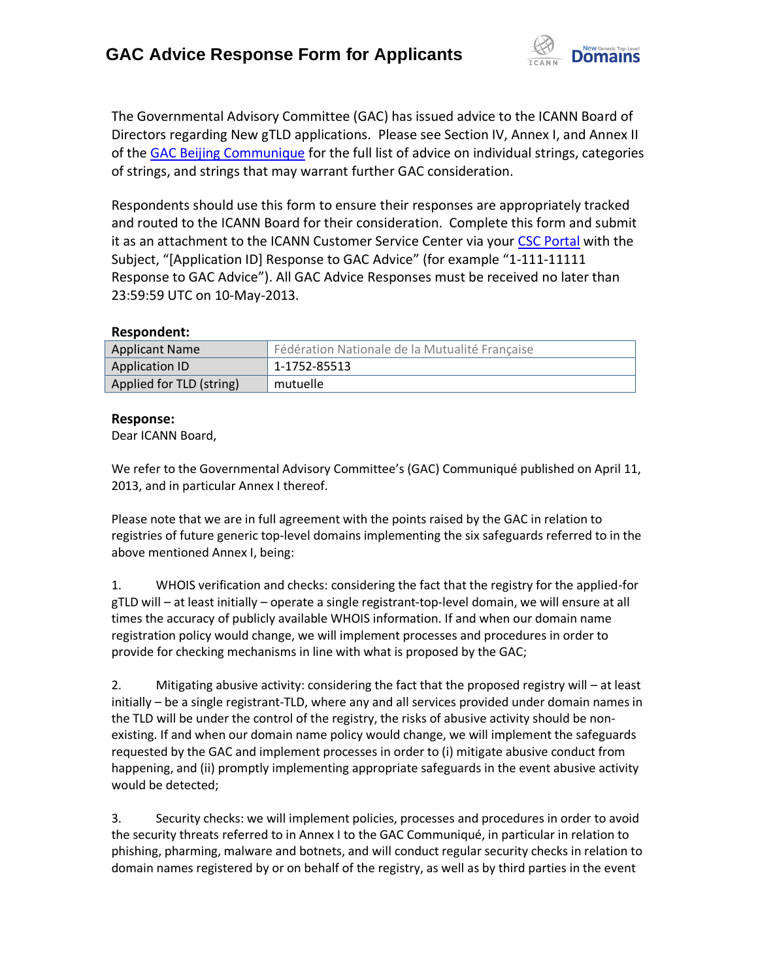

The Governmental Advisory Committee (GAC) has issued advice to the ICANN Board of Directors regarding New gTLD applications. Please see Section IV, Annex I, and Annex II of the [GAC Beijing Communique](http://www.icann.org/en/news/correspondence/gac-to-board-18apr13-en.pdf) for the full list of advice on individual strings, categories of strings, and strings that may warrant further GAC consideration.

Respondents should use this form to ensure their responses are appropriately tracked and routed to the ICANN Board for their consideration. Complete this form and submit it as an attachment to the ICANN Customer Service Center via your CSC [Portal](https://myicann.secure.force.com/) with the Subject, "[Application ID] Response to GAC Advice" (for example "1-111-11111 Response to GAC Advice"). All GAC Advice Responses must be received no later than 23:59:59 UTC on 10-May-2013.

## **Respondent:**

| <b>Applicant Name</b>    | Fédération Nationale de la Mutualité Française |
|--------------------------|------------------------------------------------|
| Application ID           | 1-1752-85513                                   |
| Applied for TLD (string) | mutuelle                                       |

## **Response:**

Dear ICANN Board,

We refer to the Governmental Advisory Committee's (GAC) Communiqué published on April 11, 2013, and in particular Annex I thereof.

Please note that we are in full agreement with the points raised by the GAC in relation to registries of future generic top-level domains implementing the six safeguards referred to in the above mentioned Annex I, being:

1. WHOIS verification and checks: considering the fact that the registry for the applied-for gTLD will – at least initially – operate a single registrant-top-level domain, we will ensure at all times the accuracy of publicly available WHOIS information. If and when our domain name registration policy would change, we will implement processes and procedures in order to provide for checking mechanisms in line with what is proposed by the GAC;

2. Mitigating abusive activity: considering the fact that the proposed registry will – at least initially – be a single registrant-TLD, where any and all services provided under domain names in the TLD will be under the control of the registry, the risks of abusive activity should be nonexisting. If and when our domain name policy would change, we will implement the safeguards requested by the GAC and implement processes in order to (i) mitigate abusive conduct from happening, and (ii) promptly implementing appropriate safeguards in the event abusive activity would be detected;

3. Security checks: we will implement policies, processes and procedures in order to avoid the security threats referred to in Annex I to the GAC Communiqué, in particular in relation to phishing, pharming, malware and botnets, and will conduct regular security checks in relation to domain names registered by or on behalf of the registry, as well as by third parties in the event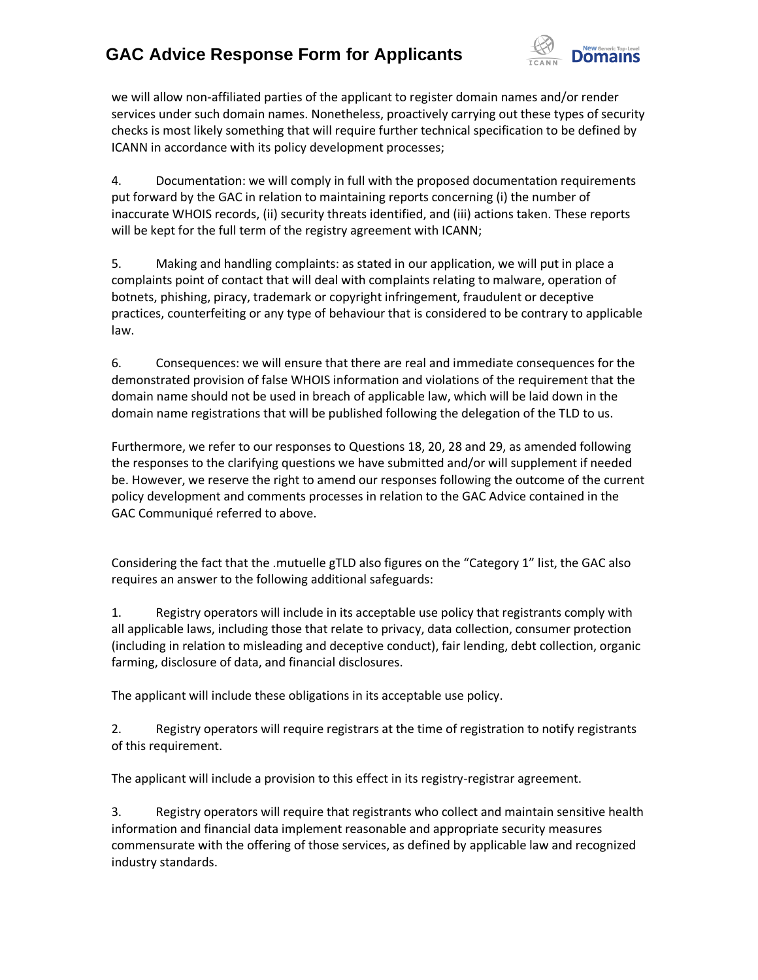## **GAC Advice Response Form for Applicants**



we will allow non-affiliated parties of the applicant to register domain names and/or render services under such domain names. Nonetheless, proactively carrying out these types of security checks is most likely something that will require further technical specification to be defined by ICANN in accordance with its policy development processes;

4. Documentation: we will comply in full with the proposed documentation requirements put forward by the GAC in relation to maintaining reports concerning (i) the number of inaccurate WHOIS records, (ii) security threats identified, and (iii) actions taken. These reports will be kept for the full term of the registry agreement with ICANN;

5. Making and handling complaints: as stated in our application, we will put in place a complaints point of contact that will deal with complaints relating to malware, operation of botnets, phishing, piracy, trademark or copyright infringement, fraudulent or deceptive practices, counterfeiting or any type of behaviour that is considered to be contrary to applicable law.

6. Consequences: we will ensure that there are real and immediate consequences for the demonstrated provision of false WHOIS information and violations of the requirement that the domain name should not be used in breach of applicable law, which will be laid down in the domain name registrations that will be published following the delegation of the TLD to us.

Furthermore, we refer to our responses to Questions 18, 20, 28 and 29, as amended following the responses to the clarifying questions we have submitted and/or will supplement if needed be. However, we reserve the right to amend our responses following the outcome of the current policy development and comments processes in relation to the GAC Advice contained in the GAC Communiqué referred to above.

Considering the fact that the .mutuelle gTLD also figures on the "Category 1" list, the GAC also requires an answer to the following additional safeguards:

1. Registry operators will include in its acceptable use policy that registrants comply with all applicable laws, including those that relate to privacy, data collection, consumer protection (including in relation to misleading and deceptive conduct), fair lending, debt collection, organic farming, disclosure of data, and financial disclosures.

The applicant will include these obligations in its acceptable use policy.

2. Registry operators will require registrars at the time of registration to notify registrants of this requirement.

The applicant will include a provision to this effect in its registry-registrar agreement.

3. Registry operators will require that registrants who collect and maintain sensitive health information and financial data implement reasonable and appropriate security measures commensurate with the offering of those services, as defined by applicable law and recognized industry standards.